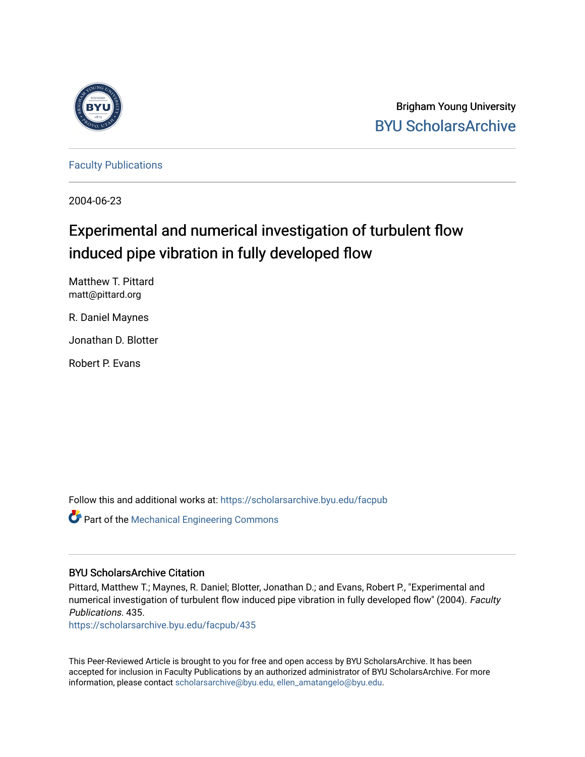

Brigham Young University [BYU ScholarsArchive](https://scholarsarchive.byu.edu/) 

[Faculty Publications](https://scholarsarchive.byu.edu/facpub)

2004-06-23

# Experimental and numerical investigation of turbulent flow induced pipe vibration in fully developed flow

Matthew T. Pittard matt@pittard.org

R. Daniel Maynes

Jonathan D. Blotter

Robert P. Evans

Follow this and additional works at: [https://scholarsarchive.byu.edu/facpub](https://scholarsarchive.byu.edu/facpub?utm_source=scholarsarchive.byu.edu%2Ffacpub%2F435&utm_medium=PDF&utm_campaign=PDFCoverPages) 

Part of the [Mechanical Engineering Commons](http://network.bepress.com/hgg/discipline/293?utm_source=scholarsarchive.byu.edu%2Ffacpub%2F435&utm_medium=PDF&utm_campaign=PDFCoverPages) 

# BYU ScholarsArchive Citation

Pittard, Matthew T.; Maynes, R. Daniel; Blotter, Jonathan D.; and Evans, Robert P., "Experimental and numerical investigation of turbulent flow induced pipe vibration in fully developed flow" (2004). Faculty Publications. 435.

[https://scholarsarchive.byu.edu/facpub/435](https://scholarsarchive.byu.edu/facpub/435?utm_source=scholarsarchive.byu.edu%2Ffacpub%2F435&utm_medium=PDF&utm_campaign=PDFCoverPages) 

This Peer-Reviewed Article is brought to you for free and open access by BYU ScholarsArchive. It has been accepted for inclusion in Faculty Publications by an authorized administrator of BYU ScholarsArchive. For more information, please contact [scholarsarchive@byu.edu, ellen\\_amatangelo@byu.edu.](mailto:scholarsarchive@byu.edu,%20ellen_amatangelo@byu.edu)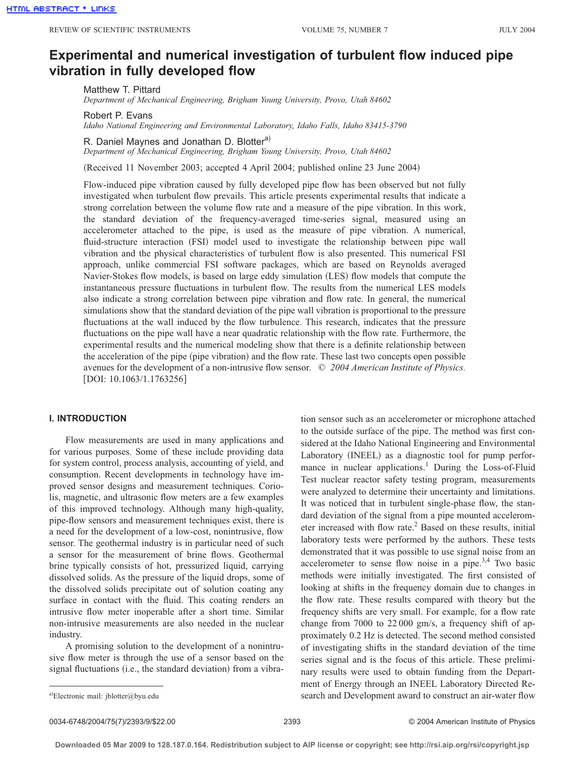# **Experimental and numerical investigation of turbulent flow induced pipe vibration in fully developed flow**

Matthew T. Pittard

*Department of Mechanical Engineering, Brigham Young University, Provo, Utah 84602*

Robert P. Evans

*Idaho National Engineering and Environmental Laboratory, Idaho Falls, Idaho 83415-3790*

R. Daniel Maynes and Jonathan D. Blotter<sup>a)</sup>

*Department of Mechanical Engineering, Brigham Young University, Provo, Utah 84602*

(Received 11 November 2003; accepted 4 April 2004; published online 23 June 2004)

Flow-induced pipe vibration caused by fully developed pipe flow has been observed but not fully investigated when turbulent flow prevails. This article presents experimental results that indicate a strong correlation between the volume flow rate and a measure of the pipe vibration. In this work, the standard deviation of the frequency-averaged time-series signal, measured using an accelerometer attached to the pipe, is used as the measure of pipe vibration. A numerical, fluid-structure interaction (FSI) model used to investigate the relationship between pipe wall vibration and the physical characteristics of turbulent flow is also presented. This numerical FSI approach, unlike commercial FSI software packages, which are based on Reynolds averaged Navier-Stokes flow models, is based on large eddy simulation (LES) flow models that compute the instantaneous pressure fluctuations in turbulent flow. The results from the numerical LES models also indicate a strong correlation between pipe vibration and flow rate. In general, the numerical simulations show that the standard deviation of the pipe wall vibration is proportional to the pressure fluctuations at the wall induced by the flow turbulence. This research, indicates that the pressure fluctuations on the pipe wall have a near quadratic relationship with the flow rate. Furthermore, the experimental results and the numerical modeling show that there is a definite relationship between the acceleration of the pipe (pipe vibration) and the flow rate. These last two concepts open possible avenues for the development of a non-intrusive flow sensor. © *2004 American Institute of Physics.* [DOI: 10.1063/1.1763256]

#### **I. INTRODUCTION**

Flow measurements are used in many applications and for various purposes. Some of these include providing data for system control, process analysis, accounting of yield, and consumption. Recent developments in technology have improved sensor designs and measurement techniques. Coriolis, magnetic, and ultrasonic flow meters are a few examples of this improved technology. Although many high-quality, pipe-flow sensors and measurement techniques exist, there is a need for the development of a low-cost, nonintrusive, flow sensor. The geothermal industry is in particular need of such a sensor for the measurement of brine flows. Geothermal brine typically consists of hot, pressurized liquid, carrying dissolved solids. As the pressure of the liquid drops, some of the dissolved solids precipitate out of solution coating any surface in contact with the fluid. This coating renders an intrusive flow meter inoperable after a short time. Similar non-intrusive measurements are also needed in the nuclear industry.

A promising solution to the development of a nonintrusive flow meter is through the use of a sensor based on the signal fluctuations (i.e., the standard deviation) from a vibration sensor such as an accelerometer or microphone attached to the outside surface of the pipe. The method was first considered at the Idaho National Engineering and Environmental Laboratory (INEEL) as a diagnostic tool for pump performance in nuclear applications.<sup>1</sup> During the Loss-of-Fluid Test nuclear reactor safety testing program, measurements were analyzed to determine their uncertainty and limitations. It was noticed that in turbulent single-phase flow, the standard deviation of the signal from a pipe mounted accelerometer increased with flow rate. $^{2}$  Based on these results, initial laboratory tests were performed by the authors. These tests demonstrated that it was possible to use signal noise from an accelerometer to sense flow noise in a pipe.<sup>3,4</sup> Two basic methods were initially investigated. The first consisted of looking at shifts in the frequency domain due to changes in the flow rate. These results compared with theory but the frequency shifts are very small. For example, for a flow rate change from 7000 to 22 000 gm/s, a frequency shift of approximately 0.2 Hz is detected. The second method consisted of investigating shifts in the standard deviation of the time series signal and is the focus of this article. These preliminary results were used to obtain funding from the Department of Energy through an INEEL Laboratory Directed Re search and Development award to construct an air-water flow

0034-6748/2004/75(7)/2393/9/\$22.00 © 2004 American Institute of Physics 2393

a)Electronic mail: jblotter@byu.edu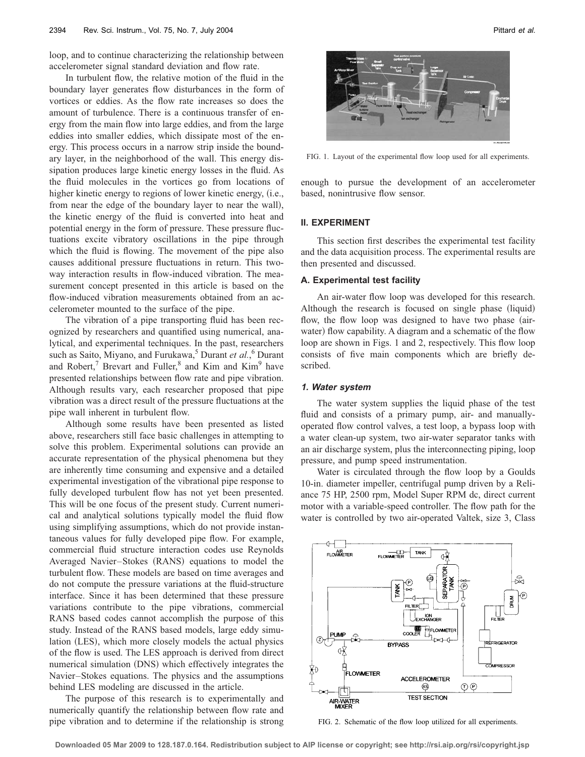loop, and to continue characterizing the relationship between accelerometer signal standard deviation and flow rate.

In turbulent flow, the relative motion of the fluid in the boundary layer generates flow disturbances in the form of vortices or eddies. As the flow rate increases so does the amount of turbulence. There is a continuous transfer of energy from the main flow into large eddies, and from the large eddies into smaller eddies, which dissipate most of the energy. This process occurs in a narrow strip inside the boundary layer, in the neighborhood of the wall. This energy dissipation produces large kinetic energy losses in the fluid. As the fluid molecules in the vortices go from locations of higher kinetic energy to regions of lower kinetic energy, (i.e., from near the edge of the boundary layer to near the wall, the kinetic energy of the fluid is converted into heat and potential energy in the form of pressure. These pressure fluctuations excite vibratory oscillations in the pipe through which the fluid is flowing. The movement of the pipe also causes additional pressure fluctuations in return. This twoway interaction results in flow-induced vibration. The measurement concept presented in this article is based on the flow-induced vibration measurements obtained from an accelerometer mounted to the surface of the pipe.

The vibration of a pipe transporting fluid has been recognized by researchers and quantified using numerical, analytical, and experimental techniques. In the past, researchers such as Saito, Miyano, and Furukawa,<sup>5</sup> Durant *et al.*,<sup>6</sup> Durant and Robert, $\frac{7}{1}$  Brevart and Fuller, $\frac{8}{1}$  and Kim and Kim<sup>9</sup> have presented relationships between flow rate and pipe vibration. Although results vary, each researcher proposed that pipe vibration was a direct result of the pressure fluctuations at the pipe wall inherent in turbulent flow.

Although some results have been presented as listed above, researchers still face basic challenges in attempting to solve this problem. Experimental solutions can provide an accurate representation of the physical phenomena but they are inherently time consuming and expensive and a detailed experimental investigation of the vibrational pipe response to fully developed turbulent flow has not yet been presented. This will be one focus of the present study. Current numerical and analytical solutions typically model the fluid flow using simplifying assumptions, which do not provide instantaneous values for fully developed pipe flow. For example, commercial fluid structure interaction codes use Reynolds Averaged Navier-Stokes (RANS) equations to model the turbulent flow. These models are based on time averages and do not compute the pressure variations at the fluid-structure interface. Since it has been determined that these pressure variations contribute to the pipe vibrations, commercial RANS based codes cannot accomplish the purpose of this study. Instead of the RANS based models, large eddy simulation (LES), which more closely models the actual physics of the flow is used. The LES approach is derived from direct numerical simulation (DNS) which effectively integrates the Navier–Stokes equations. The physics and the assumptions behind LES modeling are discussed in the article.

The purpose of this research is to experimentally and numerically quantify the relationship between flow rate and pipe vibration and to determine if the relationship is strong

FIG. 1. Layout of the experimental flow loop used for all experiments.

enough to pursue the development of an accelerometer based, nonintrusive flow sensor.

#### **II. EXPERIMENT**

This section first describes the experimental test facility and the data acquisition process. The experimental results are then presented and discussed.

#### **A. Experimental test facility**

An air-water flow loop was developed for this research. Although the research is focused on single phase (liquid) flow, the flow loop was designed to have two phase (airwater) flow capability. A diagram and a schematic of the flow loop are shown in Figs. 1 and 2, respectively. This flow loop consists of five main components which are briefly described.

#### **1. Water system**

The water system supplies the liquid phase of the test fluid and consists of a primary pump, air- and manuallyoperated flow control valves, a test loop, a bypass loop with a water clean-up system, two air-water separator tanks with an air discharge system, plus the interconnecting piping, loop pressure, and pump speed instrumentation.

Water is circulated through the flow loop by a Goulds 10-in. diameter impeller, centrifugal pump driven by a Reliance 75 HP, 2500 rpm, Model Super RPM dc, direct current motor with a variable-speed controller. The flow path for the water is controlled by two air-operated Valtek, size 3, Class



FIG. 2. Schematic of the flow loop utilized for all experiments.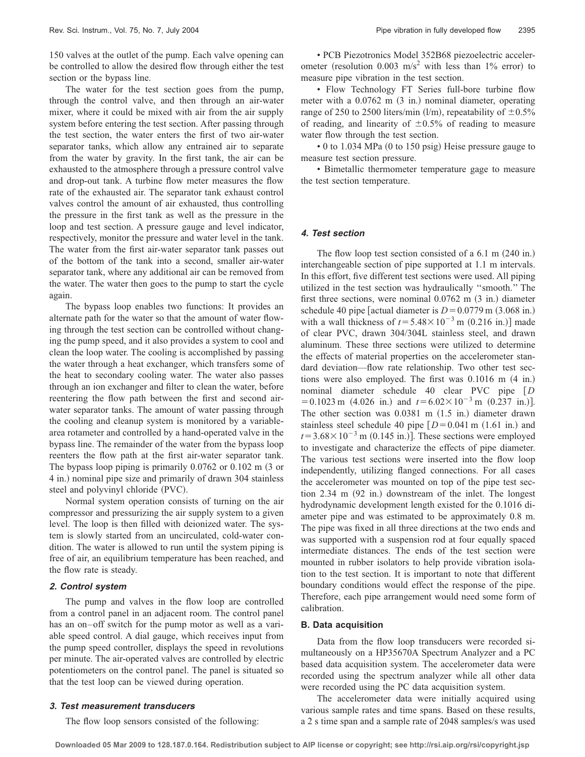150 valves at the outlet of the pump. Each valve opening can be controlled to allow the desired flow through either the test section or the bypass line.

The water for the test section goes from the pump, through the control valve, and then through an air-water mixer, where it could be mixed with air from the air supply system before entering the test section. After passing through the test section, the water enters the first of two air-water separator tanks, which allow any entrained air to separate from the water by gravity. In the first tank, the air can be exhausted to the atmosphere through a pressure control valve and drop-out tank. A turbine flow meter measures the flow rate of the exhausted air. The separator tank exhaust control valves control the amount of air exhausted, thus controlling the pressure in the first tank as well as the pressure in the loop and test section. A pressure gauge and level indicator, respectively, monitor the pressure and water level in the tank. The water from the first air-water separator tank passes out of the bottom of the tank into a second, smaller air-water separator tank, where any additional air can be removed from the water. The water then goes to the pump to start the cycle again.

The bypass loop enables two functions: It provides an alternate path for the water so that the amount of water flowing through the test section can be controlled without changing the pump speed, and it also provides a system to cool and clean the loop water. The cooling is accomplished by passing the water through a heat exchanger, which transfers some of the heat to secondary cooling water. The water also passes through an ion exchanger and filter to clean the water, before reentering the flow path between the first and second airwater separator tanks. The amount of water passing through the cooling and cleanup system is monitored by a variablearea rotameter and controlled by a hand-operated valve in the bypass line. The remainder of the water from the bypass loop reenters the flow path at the first air-water separator tank. The bypass loop piping is primarily  $0.0762$  or  $0.102$  m  $(3 \text{ or } 1)$ 4 in.) nominal pipe size and primarily of drawn 304 stainless steel and polyvinyl chloride (PVC).

Normal system operation consists of turning on the air compressor and pressurizing the air supply system to a given level. The loop is then filled with deionized water. The system is slowly started from an uncirculated, cold-water condition. The water is allowed to run until the system piping is free of air, an equilibrium temperature has been reached, and the flow rate is steady.

#### **2. Control system**

The pump and valves in the flow loop are controlled from a control panel in an adjacent room. The control panel has an on–off switch for the pump motor as well as a variable speed control. A dial gauge, which receives input from the pump speed controller, displays the speed in revolutions per minute. The air-operated valves are controlled by electric potentiometers on the control panel. The panel is situated so that the test loop can be viewed during operation.

#### **3. Test measurement transducers**

The flow loop sensors consisted of the following:

• PCB Piezotronics Model 352B68 piezoelectric accelerometer (resolution 0.003 m/s<sup>2</sup> with less than 1% error) to measure pipe vibration in the test section.

• Flow Technology FT Series full-bore turbine flow meter with a  $0.0762$  m  $(3 \text{ in.})$  nominal diameter, operating range of 250 to 2500 liters/min (l/m), repeatability of  $\pm 0.5\%$ of reading, and linearity of  $\pm 0.5\%$  of reading to measure water flow through the test section.

• 0 to 1.034 MPa (0 to 150 psig) Heise pressure gauge to measure test section pressure.

• Bimetallic thermometer temperature gage to measure the test section temperature.

#### **4. Test section**

The flow loop test section consisted of a  $6.1 \text{ m}$   $(240 \text{ in.})$ interchangeable section of pipe supported at 1.1 m intervals. In this effort, five different test sections were used. All piping utilized in the test section was hydraulically ''smooth.'' The first three sections, were nominal  $0.0762$  m  $(3 \text{ in.})$  diameter schedule 40 pipe [actual diameter is  $D = 0.0779$  m  $(3.068$  in.) with a wall thickness of  $t = 5.48 \times 10^{-3}$  m (0.216 in.)] made of clear PVC, drawn 304/304L stainless steel, and drawn aluminum. These three sections were utilized to determine the effects of material properties on the accelerometer standard deviation—flow rate relationship. Two other test sections were also employed. The first was  $0.1016$  m  $(4 \text{ in.})$ nominal diameter schedule 40 clear PVC pipe *D*  $= 0.1023$  m  $(4.026$  in.) and  $t = 6.02 \times 10^{-3}$  m  $(0.237$  in.)]. The other section was  $0.0381$  m  $(1.5 \text{ in.})$  diameter drawn stainless steel schedule 40 pipe  $[D=0.041 \text{ m } (1.61 \text{ in.})$  and  $t = 3.68 \times 10^{-3}$  m (0.145 in.)]. These sections were employed to investigate and characterize the effects of pipe diameter. The various test sections were inserted into the flow loop independently, utilizing flanged connections. For all cases the accelerometer was mounted on top of the pipe test section 2.34 m (92 in.) downstream of the inlet. The longest hydrodynamic development length existed for the 0.1016 diameter pipe and was estimated to be approximately 0.8 m. The pipe was fixed in all three directions at the two ends and was supported with a suspension rod at four equally spaced intermediate distances. The ends of the test section were mounted in rubber isolators to help provide vibration isolation to the test section. It is important to note that different boundary conditions would effect the response of the pipe. Therefore, each pipe arrangement would need some form of calibration.

#### **B. Data acquisition**

Data from the flow loop transducers were recorded simultaneously on a HP35670A Spectrum Analyzer and a PC based data acquisition system. The accelerometer data were recorded using the spectrum analyzer while all other data were recorded using the PC data acquisition system.

The accelerometer data were initially acquired using various sample rates and time spans. Based on these results, a 2 s time span and a sample rate of 2048 samples/s was used

**Downloaded 05 Mar 2009 to 128.187.0.164. Redistribution subject to AIP license or copyright; see http://rsi.aip.org/rsi/copyright.jsp**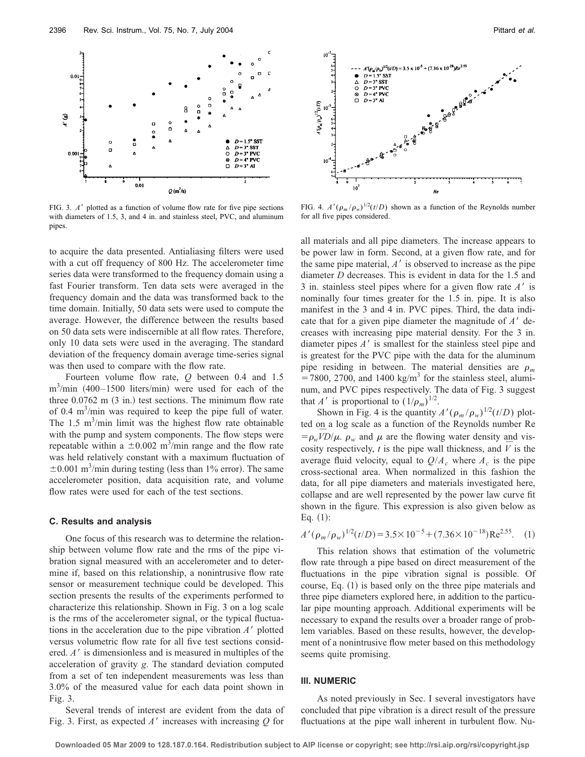

FIG. 3. A' plotted as a function of volume flow rate for five pipe sections with diameters of 1.5, 3, and 4 in. and stainless steel, PVC, and aluminum pipes.

to acquire the data presented. Antialiasing filters were used with a cut off frequency of 800 Hz. The accelerometer time series data were transformed to the frequency domain using a fast Fourier transform. Ten data sets were averaged in the frequency domain and the data was transformed back to the time domain. Initially, 50 data sets were used to compute the average. However, the difference between the results based on 50 data sets were indiscernible at all flow rates. Therefore, only 10 data sets were used in the averaging. The standard deviation of the frequency domain average time-series signal was then used to compare with the flow rate.

Fourteen volume flow rate, *Q* between 0.4 and 1.5  $m^3$ /min (400–1500 liters/min) were used for each of the three  $0.0762$  m  $(3 \text{ in.})$  test sections. The minimum flow rate of 0.4  $\text{m}^3/\text{min}$  was required to keep the pipe full of water. The  $1.5 \text{ m}^3/\text{min}$  limit was the highest flow rate obtainable with the pump and system components. The flow steps were repeatable within a  $\pm 0.002$  m<sup>3</sup>/min range and the flow rate was held relatively constant with a maximum fluctuation of  $\pm 0.001$  m<sup>3</sup>/min during testing (less than 1% error). The same accelerometer position, data acquisition rate, and volume flow rates were used for each of the test sections.

#### **C. Results and analysis**

One focus of this research was to determine the relationship between volume flow rate and the rms of the pipe vibration signal measured with an accelerometer and to determine if, based on this relationship, a nonintrusive flow rate sensor or measurement technique could be developed. This section presents the results of the experiments performed to characterize this relationship. Shown in Fig. 3 on a log scale is the rms of the accelerometer signal, or the typical fluctuations in the acceleration due to the pipe vibration  $A'$  plotted versus volumetric flow rate for all five test sections considered. *A'* is dimensionless and is measured in multiples of the acceleration of gravity *g*. The standard deviation computed from a set of ten independent measurements was less than 3.0% of the measured value for each data point shown in Fig. 3.

Several trends of interest are evident from the data of Fig. 3. First, as expected A' increases with increasing Q for



FIG. 4.  $A'(\rho_m/\rho_w)^{1/2}(t/D)$  shown as a function of the Reynolds number for all five pipes considered.

all materials and all pipe diameters. The increase appears to be power law in form. Second, at a given flow rate, and for the same pipe material,  $A'$  is observed to increase as the pipe diameter *D* decreases. This is evident in data for the 1.5 and 3 in. stainless steel pipes where for a given flow rate *A*- is nominally four times greater for the 1.5 in. pipe. It is also manifest in the 3 and 4 in. PVC pipes. Third, the data indicate that for a given pipe diameter the magnitude of  $A'$  decreases with increasing pipe material density. For the 3 in. diameter pipes *A*- is smallest for the stainless steel pipe and is greatest for the PVC pipe with the data for the aluminum pipe residing in between. The material densities are  $\rho_m$  $= 7800, 2700,$  and 1400 kg/m<sup>3</sup> for the stainless steel, aluminum, and PVC pipes respectively. The data of Fig. 3 suggest that *A*<sup> $\prime$ </sup> is proportional to  $(1/\rho_m)^{1/2}$ .

Shown in Fig. 4 is the quantity  $A'(\rho_m/\rho_w)^{1/2}(t/D)$  plotted on a log scale as a function of the Reynolds number Re  $\frac{\partial G}{\partial u}$  and  $\frac{\partial G}{\partial w}$  and  $\mu$  are the flowing water density and vis- $\rho_w$ ,  $\rho_w$ ,  $\rho_w$  and  $\mu$  are the howing water density and *V* is the cosity respectively, *t* is the pipe wall thickness, and *V* is the average fluid velocity, equal to  $Q/A_c$  where  $A_c$  is the pipe cross-sectional area. When normalized in this fashion the data, for all pipe diameters and materials investigated here, collapse and are well represented by the power law curve fit shown in the figure. This expression is also given below as Eq.  $(1)$ :

$$
A'(\rho_m/\rho_w)^{1/2}(t/D) = 3.5 \times 10^{-5} + (7.36 \times 10^{-18}) \text{Re}^{2.55}.
$$
 (1)

This relation shows that estimation of the volumetric flow rate through a pipe based on direct measurement of the fluctuations in the pipe vibration signal is possible. Of course, Eq. (1) is based only on the three pipe materials and three pipe diameters explored here, in addition to the particular pipe mounting approach. Additional experiments will be necessary to expand the results over a broader range of problem variables. Based on these results, however, the development of a nonintrusive flow meter based on this methodology seems quite promising.

#### **III. NUMERIC**

As noted previously in Sec. I several investigators have concluded that pipe vibration is a direct result of the pressure fluctuations at the pipe wall inherent in turbulent flow. Nu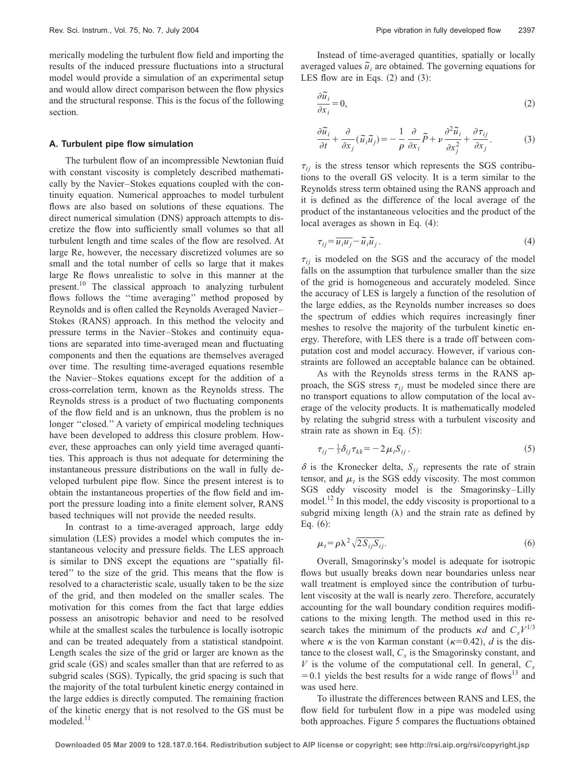merically modeling the turbulent flow field and importing the results of the induced pressure fluctuations into a structural model would provide a simulation of an experimental setup and would allow direct comparison between the flow physics and the structural response. This is the focus of the following section.

#### **A. Turbulent pipe flow simulation**

The turbulent flow of an incompressible Newtonian fluid with constant viscosity is completely described mathematically by the Navier–Stokes equations coupled with the continuity equation. Numerical approaches to model turbulent flows are also based on solutions of these equations. The direct numerical simulation (DNS) approach attempts to discretize the flow into sufficiently small volumes so that all turbulent length and time scales of the flow are resolved. At large Re, however, the necessary discretized volumes are so small and the total number of cells so large that it makes large Re flows unrealistic to solve in this manner at the present.<sup>10</sup> The classical approach to analyzing turbulent flows follows the ''time averaging'' method proposed by Reynolds and is often called the Reynolds Averaged Navier– Stokes (RANS) approach. In this method the velocity and pressure terms in the Navier–Stokes and continuity equations are separated into time-averaged mean and fluctuating components and then the equations are themselves averaged over time. The resulting time-averaged equations resemble the Navier–Stokes equations except for the addition of a cross-correlation term, known as the Reynolds stress. The Reynolds stress is a product of two fluctuating components of the flow field and is an unknown, thus the problem is no longer "closed." A variety of empirical modeling techniques have been developed to address this closure problem. However, these approaches can only yield time averaged quantities. This approach is thus not adequate for determining the instantaneous pressure distributions on the wall in fully developed turbulent pipe flow. Since the present interest is to obtain the instantaneous properties of the flow field and import the pressure loading into a finite element solver, RANS based techniques will not provide the needed results.

In contrast to a time-averaged approach, large eddy simulation (LES) provides a model which computes the instantaneous velocity and pressure fields. The LES approach is similar to DNS except the equations are ''spatially filtered'' to the size of the grid. This means that the flow is resolved to a characteristic scale, usually taken to be the size of the grid, and then modeled on the smaller scales. The motivation for this comes from the fact that large eddies possess an anisotropic behavior and need to be resolved while at the smallest scales the turbulence is locally isotropic and can be treated adequately from a statistical standpoint. Length scales the size of the grid or larger are known as the grid scale (GS) and scales smaller than that are referred to as subgrid scales (SGS). Typically, the grid spacing is such that the majority of the total turbulent kinetic energy contained in the large eddies is directly computed. The remaining fraction of the kinetic energy that is not resolved to the GS must be modeled.<sup>11</sup>

Instead of time-averaged quantities, spatially or locally averaged values  $\tilde{u}_i$  are obtained. The governing equations for LES flow are in Eqs.  $(2)$  and  $(3)$ :

$$
\frac{\partial \widetilde{u}_i}{\partial x_i} = 0,\tag{2}
$$

$$
\frac{\partial \widetilde{u}_i}{\partial t} + \frac{\partial}{\partial x_j} (\widetilde{u}_i \widetilde{u}_j) = -\frac{1}{\rho} \frac{\partial}{\partial x_i} \widetilde{P} + \nu \frac{\partial^2 \widetilde{u}_i}{\partial x_j^2} + \frac{\partial \tau_{ij}}{\partial x_j}.
$$
 (3)

 $\tau_{ij}$  is the stress tensor which represents the SGS contributions to the overall GS velocity. It is a term similar to the Reynolds stress term obtained using the RANS approach and it is defined as the difference of the local average of the product of the instantaneous velocities and the product of the local averages as shown in Eq.  $(4)$ :

 $\tau$ 

$$
\tau_{ij} = \overline{u_i u_j} - \widetilde{u}_i \widetilde{u}_j \,. \tag{4}
$$

 $\tau_{ij}$  is modeled on the SGS and the accuracy of the model falls on the assumption that turbulence smaller than the size of the grid is homogeneous and accurately modeled. Since the accuracy of LES is largely a function of the resolution of the large eddies, as the Reynolds number increases so does the spectrum of eddies which requires increasingly finer meshes to resolve the majority of the turbulent kinetic energy. Therefore, with LES there is a trade off between computation cost and model accuracy. However, if various constraints are followed an acceptable balance can be obtained.

As with the Reynolds stress terms in the RANS approach, the SGS stress  $\tau_{ij}$  must be modeled since there are no transport equations to allow computation of the local average of the velocity products. It is mathematically modeled by relating the subgrid stress with a turbulent viscosity and strain rate as shown in Eq.  $(5)$ :

$$
\tau_{ij} - \frac{1}{3} \delta_{ij} \tau_{kk} = -2 \mu_t S_{ij} \,. \tag{5}
$$

 $\delta$  is the Kronecker delta,  $S_{ij}$  represents the rate of strain tensor, and  $\mu_t$  is the SGS eddy viscosity. The most common SGS eddy viscosity model is the Smagorinsky–Lilly model.<sup>12</sup> In this model, the eddy viscosity is proportional to a subgrid mixing length  $(\lambda)$  and the strain rate as defined by Eq.  $(6)$ :

$$
\mu_i = \rho \lambda^2 \sqrt{2S_{ij}S_{ij}}.\tag{6}
$$

Overall, Smagorinsky's model is adequate for isotropic flows but usually breaks down near boundaries unless near wall treatment is employed since the contribution of turbulent viscosity at the wall is nearly zero. Therefore, accurately accounting for the wall boundary condition requires modifications to the mixing length. The method used in this research takes the minimum of the products  $\kappa d$  and  $C_sV^{1/3}$ where  $\kappa$  is the von Karman constant ( $\kappa$ =0.42), *d* is the distance to the closest wall,  $C_s$  is the Smagorinsky constant, and *V* is the volume of the computational cell. In general,  $C_s$  $=0.1$  yields the best results for a wide range of flows<sup>13</sup> and was used here.

To illustrate the differences between RANS and LES, the flow field for turbulent flow in a pipe was modeled using both approaches. Figure 5 compares the fluctuations obtained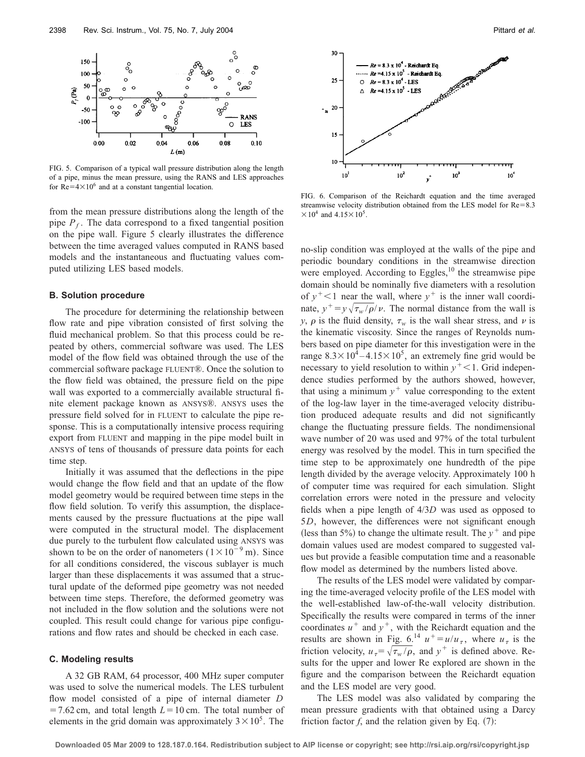

FIG. 5. Comparison of a typical wall pressure distribution along the length of a pipe, minus the mean pressure, using the RANS and LES approaches for  $Re=4\times10^6$  and at a constant tangential location.

from the mean pressure distributions along the length of the pipe  $P_f$ . The data correspond to a fixed tangential position on the pipe wall. Figure 5 clearly illustrates the difference between the time averaged values computed in RANS based models and the instantaneous and fluctuating values computed utilizing LES based models.

## **B. Solution procedure**

The procedure for determining the relationship between flow rate and pipe vibration consisted of first solving the fluid mechanical problem. So that this process could be repeated by others, commercial software was used. The LES model of the flow field was obtained through the use of the commercial software package FLUENT®. Once the solution to the flow field was obtained, the pressure field on the pipe wall was exported to a commercially available structural finite element package known as ANSYS®. ANSYS uses the pressure field solved for in FLUENT to calculate the pipe response. This is a computationally intensive process requiring export from FLUENT and mapping in the pipe model built in ANSYS of tens of thousands of pressure data points for each time step.

Initially it was assumed that the deflections in the pipe would change the flow field and that an update of the flow model geometry would be required between time steps in the flow field solution. To verify this assumption, the displacements caused by the pressure fluctuations at the pipe wall were computed in the structural model. The displacement due purely to the turbulent flow calculated using ANSYS was shown to be on the order of nanometers  $(1 \times 10^{-9} \text{ m})$ . Since for all conditions considered, the viscous sublayer is much larger than these displacements it was assumed that a structural update of the deformed pipe geometry was not needed between time steps. Therefore, the deformed geometry was not included in the flow solution and the solutions were not coupled. This result could change for various pipe configurations and flow rates and should be checked in each case.

## **C. Modeling results**

A 32 GB RAM, 64 processor, 400 MHz super computer was used to solve the numerical models. The LES turbulent flow model consisted of a pipe of internal diameter *D*  $=$  7.62 cm, and total length  $L=10$  cm. The total number of elements in the grid domain was approximately  $3 \times 10^5$ . The



FIG. 6. Comparison of the Reichardt equation and the time averaged streamwise velocity distribution obtained from the LES model for  $Re = 8.3$  $\times 10^4$  and  $4.15\times10^5$ .

no-slip condition was employed at the walls of the pipe and periodic boundary conditions in the streamwise direction were employed. According to Eggles, $^{10}$  the streamwise pipe domain should be nominally five diameters with a resolution of  $y^+$ <1 near the wall, where  $y^+$  is the inner wall coordinate,  $y^+ = y\sqrt{\tau_w/\rho}/v$ . The normal distance from the wall is *y*,  $\rho$  is the fluid density,  $\tau_w$  is the wall shear stress, and  $\nu$  is the kinematic viscosity. Since the ranges of Reynolds numbers based on pipe diameter for this investigation were in the range  $8.3\times10^4 - 4.15\times10^5$ , an extremely fine grid would be necessary to yield resolution to within  $y^+$ <1. Grid independence studies performed by the authors showed, however, that using a minimum  $y^+$  value corresponding to the extent of the log-law layer in the time-averaged velocity distribution produced adequate results and did not significantly change the fluctuating pressure fields. The nondimensional wave number of 20 was used and 97% of the total turbulent energy was resolved by the model. This in turn specified the time step to be approximately one hundredth of the pipe length divided by the average velocity. Approximately 100 h of computer time was required for each simulation. Slight correlation errors were noted in the pressure and velocity fields when a pipe length of 4/3*D* was used as opposed to 5*D*, however, the differences were not significant enough (less than 5%) to change the ultimate result. The  $y^+$  and pipe domain values used are modest compared to suggested values but provide a feasible computation time and a reasonable flow model as determined by the numbers listed above.

The results of the LES model were validated by comparing the time-averaged velocity profile of the LES model with the well-established law-of-the-wall velocity distribution. Specifically the results were compared in terms of the inner coordinates  $u^+$  and  $y^+$ , with the Reichardt equation and the results are shown in Fig. 6.<sup>14</sup>  $u^+=u/u_\tau$ , where  $u_\tau$  is the friction velocity,  $u_{\tau} = \sqrt{\tau_w / \rho}$ , and  $y^+$  is defined above. Results for the upper and lower Re explored are shown in the figure and the comparison between the Reichardt equation and the LES model are very good.

The LES model was also validated by comparing the mean pressure gradients with that obtained using a Darcy friction factor  $f$ , and the relation given by Eq.  $(7)$ :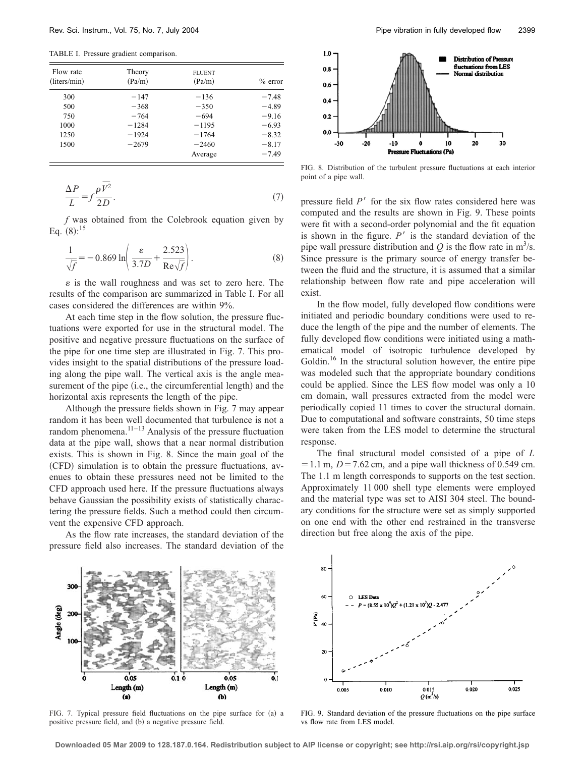TABLE I. Pressure gradient comparison.

| Flow rate<br>(liters/min) | Theory<br>(Pa/m) | <b>FLUENT</b><br>(Pa/m) | $%$ error |
|---------------------------|------------------|-------------------------|-----------|
| 300                       | $-147$           | $-136$                  | $-7.48$   |
| 500                       | $-368$           | $-350$                  | $-4.89$   |
| 750                       | $-764$           | $-694$                  | $-9.16$   |
| 1000                      | $-1284$          | $-1195$                 | $-6.93$   |
| 1250                      | $-1924$          | $-1764$                 | $-8.32$   |
| 1500                      | $-2679$          | $-2460$                 | $-8.17$   |
|                           |                  | Average                 | $-7.49$   |

$$
\frac{\Delta P}{L} = f \frac{\rho \overline{V^2}}{2D}.
$$
\n(7)

*f* was obtained from the Colebrook equation given by Eq.  $(8)$ :<sup>15</sup>

$$
\frac{1}{\sqrt{f}} = -0.869 \ln \left( \frac{\varepsilon}{3.7D} + \frac{2.523}{\text{Re}\sqrt{f}} \right). \tag{8}
$$

 $\varepsilon$  is the wall roughness and was set to zero here. The results of the comparison are summarized in Table I. For all cases considered the differences are within 9%.

At each time step in the flow solution, the pressure fluctuations were exported for use in the structural model. The positive and negative pressure fluctuations on the surface of the pipe for one time step are illustrated in Fig. 7. This provides insight to the spatial distributions of the pressure loading along the pipe wall. The vertical axis is the angle measurement of the pipe (i.e., the circumferential length) and the horizontal axis represents the length of the pipe.

Although the pressure fields shown in Fig. 7 may appear random it has been well documented that turbulence is not a random phenomena.<sup>11–13</sup> Analysis of the pressure fluctuation data at the pipe wall, shows that a near normal distribution exists. This is shown in Fig. 8. Since the main goal of the (CFD) simulation is to obtain the pressure fluctuations, avenues to obtain these pressures need not be limited to the CFD approach used here. If the pressure fluctuations always behave Gaussian the possibility exists of statistically charactering the pressure fields. Such a method could then circumvent the expensive CFD approach.

As the flow rate increases, the standard deviation of the pressure field also increases. The standard deviation of the



FIG. 8. Distribution of the turbulent pressure fluctuations at each interior point of a pipe wall.

pressure field  $P'$  for the six flow rates considered here was computed and the results are shown in Fig. 9. These points were fit with a second-order polynomial and the fit equation is shown in the figure.  $P'$  is the standard deviation of the pipe wall pressure distribution and  $Q$  is the flow rate in  $m^3/s$ . Since pressure is the primary source of energy transfer between the fluid and the structure, it is assumed that a similar relationship between flow rate and pipe acceleration will exist.

In the flow model, fully developed flow conditions were initiated and periodic boundary conditions were used to reduce the length of the pipe and the number of elements. The fully developed flow conditions were initiated using a mathematical model of isotropic turbulence developed by Goldin.<sup>16</sup> In the structural solution however, the entire pipe was modeled such that the appropriate boundary conditions could be applied. Since the LES flow model was only a 10 cm domain, wall pressures extracted from the model were periodically copied 11 times to cover the structural domain. Due to computational and software constraints, 50 time steps were taken from the LES model to determine the structural response.

The final structural model consisted of a pipe of *L*  $= 1.1$  m,  $D = 7.62$  cm, and a pipe wall thickness of 0.549 cm. The 1.1 m length corresponds to supports on the test section. Approximately 11 000 shell type elements were employed and the material type was set to AISI 304 steel. The boundary conditions for the structure were set as simply supported on one end with the other end restrained in the transverse direction but free along the axis of the pipe.



FIG. 7. Typical pressure field fluctuations on the pipe surface for (a) a positive pressure field, and (b) a negative pressure field.



FIG. 9. Standard deviation of the pressure fluctuations on the pipe surface vs flow rate from LES model.

**Downloaded 05 Mar 2009 to 128.187.0.164. Redistribution subject to AIP license or copyright; see http://rsi.aip.org/rsi/copyright.jsp**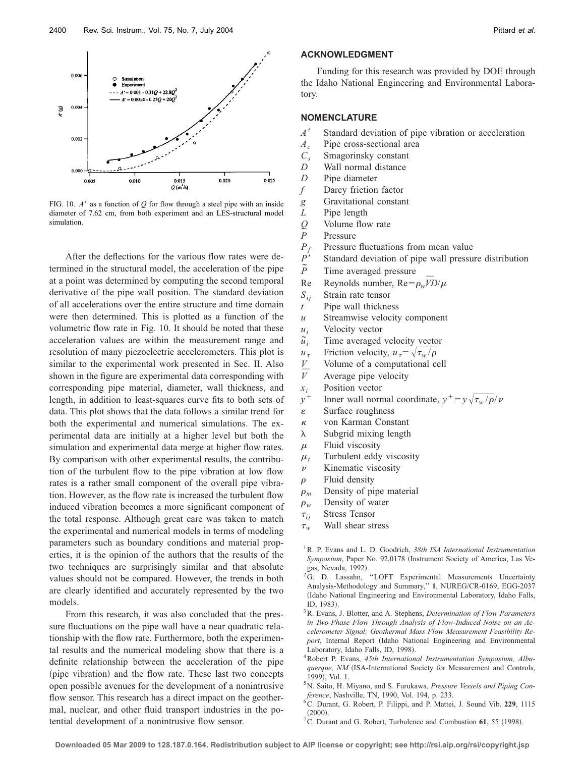

FIG. 10.  $A'$  as a function of  $Q$  for flow through a steel pipe with an inside diameter of 7.62 cm, from both experiment and an LES-structural model simulation.

After the deflections for the various flow rates were determined in the structural model, the acceleration of the pipe at a point was determined by computing the second temporal derivative of the pipe wall position. The standard deviation of all accelerations over the entire structure and time domain were then determined. This is plotted as a function of the volumetric flow rate in Fig. 10. It should be noted that these acceleration values are within the measurement range and resolution of many piezoelectric accelerometers. This plot is similar to the experimental work presented in Sec. II. Also shown in the figure are experimental data corresponding with corresponding pipe material, diameter, wall thickness, and length, in addition to least-squares curve fits to both sets of data. This plot shows that the data follows a similar trend for both the experimental and numerical simulations. The experimental data are initially at a higher level but both the simulation and experimental data merge at higher flow rates. By comparison with other experimental results, the contribution of the turbulent flow to the pipe vibration at low flow rates is a rather small component of the overall pipe vibration. However, as the flow rate is increased the turbulent flow induced vibration becomes a more significant component of the total response. Although great care was taken to match the experimental and numerical models in terms of modeling parameters such as boundary conditions and material properties, it is the opinion of the authors that the results of the two techniques are surprisingly similar and that absolute values should not be compared. However, the trends in both are clearly identified and accurately represented by the two models.

From this research, it was also concluded that the pressure fluctuations on the pipe wall have a near quadratic relationship with the flow rate. Furthermore, both the experimental results and the numerical modeling show that there is a definite relationship between the acceleration of the pipe (pipe vibration) and the flow rate. These last two concepts open possible avenues for the development of a nonintrusive flow sensor. This research has a direct impact on the geothermal, nuclear, and other fluid transport industries in the potential development of a nonintrusive flow sensor.

# **ACKNOWLEDGMENT**

Funding for this research was provided by DOE through the Idaho National Engineering and Environmental Laboratory.

#### **NOMENCLATURE**

- *A*-Standard deviation of pipe vibration or acceleration
- $A_c$  Pipe cross-sectional area<br> $C_s$  Smagorinsky constant
- *C<sub>s</sub>* Smagorinsky constant<br>*D* Wall normal distance
- Wall normal distance
- *D* Pipe diameter
- *f* Darcy friction factor
- *g* Gravitational constant
- *L* Pipe length
- *Q* Volume flow rate
- *P* Pressure<br>*P<sub>c</sub>* Pressure
- Pressure fluctuations from mean value
- $P^{\prime}$ Standard deviation of pipe wall pressure distribution
- $\tilde{p}$ *˜* Time averaged pressure
- Re Reynolds number,  $Re = \rho_w \overline{VD}/\mu$
- $S_{ij}$  Strain rate tensor
- *t* Pipe wall thickness
- *u* Streamwise velocity component
- *ui* Velocity vector
- $\tilde{u}_i$ Time averaged velocity vector
- $u_{\tau}$ Friction velocity,  $u_{\tau} = \sqrt{\tau_w/\rho}$
- *V* Volume of a computational cell
- *V ¯* Average pipe velocity
- $x_i$  Position vector<br> $y^+$  Inner wall norn
- *y*<sup>+</sup> Inner wall normal coordinate,  $y^+ = y\sqrt{\tau_w/\rho}/v$
- $\epsilon$  Surface roughness
- $\kappa$  von Karman Constant
- $\lambda$  Subgrid mixing length
- $\mu$  Fluid viscosity
- $\mu_t$  Turbulent eddy viscosity
- $\nu$  Kinematic viscosity
- $\rho$  Fluid density
- $\rho_m$  Density of pipe material
- $\rho_w$  Density of water
- $\tau_{ij}$ **Stress Tensor**
- $\tau_w$ *<sup>w</sup>* Wall shear stress
- 1R. P. Evans and L. D. Goodrich, *38th ISA International Instrumentation* Symposium, Paper No. 92,0178 (Instrument Society of America, Las Vegas, Nevada, 1992).
- <sup>2</sup>G. D. Lassahn, "LOFT Experimental Measurements Uncertainty Analysis-Methodology and Summary,'' **1**, NUREG/CR-0169, EGG-2037 -Idaho National Engineering and Environmental Laboratory, Idaho Falls, ID, 1983).
- 3R. Evans, J. Blotter, and A. Stephens, *Determination of Flow Parameters in Two-Phase Flow Through Analysis of Flow-Induced Noise on an Accelerometer Signal; Geothermal Mass Flow Measurement Feasibility Re*port, Internal Report (Idaho National Engineering and Environmental Laboratory, Idaho Falls, ID, 1998.
- 4Robert P. Evans, *45th International Instrumentation Symposium, Albu*querque, NM (ISA-International Society for Measurement and Controls, 1999, Vol. 1.
- 5N. Saito, H. Miyano, and S. Furukawa, *Pressure Vessels and Piping Conference*, Nashville, TN, 1990, Vol. 194, p. 233.
- 6C. Durant, G. Robert, P. Filippi, and P. Mattei, J. Sound Vib. **229**, 1115  $(2000).$
- ${}^{7}$ C. Durant and G. Robert, Turbulence and Combustion 61, 55 (1998).